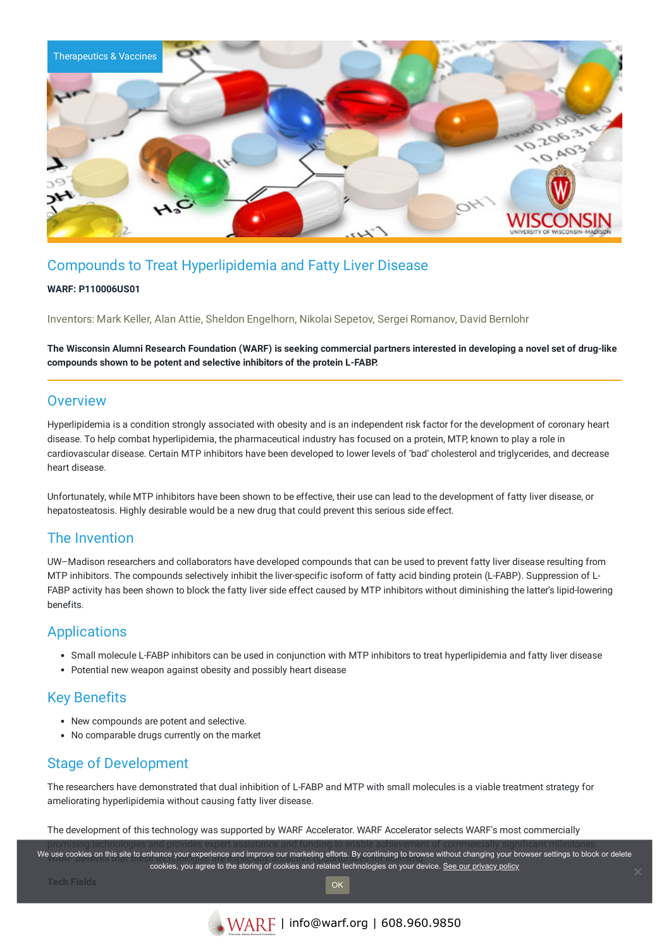

# Compounds to Treat Hyperlipidemia and Fatty Liver Disease

#### **WARF: P110006US01**

Inventors: Mark Keller, Alan Attie, Sheldon Engelhorn, Nikolai Sepetov, Sergei Romanov, David Bernlohr

The Wisconsin Alumni Research Foundation (WARF) is seeking commercial partners interested in developing a novel set of drug-like **compounds shown to be potent and selective inhibitors of the protein L-FABP.**

#### **Overview**

Hyperlipidemia is a condition strongly associated with obesity and is an independent risk factor for the development of coronary heart disease. To help combat hyperlipidemia, the pharmaceutical industry has focused on a protein, MTP, known to play a role in cardiovascular disease. Certain MTP inhibitors have been developed to lower levels of 'bad' cholesterol and triglycerides, and decrease heart disease.

Unfortunately, while MTP inhibitors have been shown to be effective, their use can lead to the development of fatty liver disease, or hepatosteatosis. Highly desirable would be a new drug that could prevent this serious side effect.

### The Invention

UW–Madison researchers and collaborators have developed compounds that can be used to prevent fatty liver disease resulting from MTP inhibitors. The compounds selectively inhibit the liver-specific isoform of fatty acid binding protein (L-FABP). Suppression of L-FABP activity has been shown to block the fatty liver side effect caused by MTP inhibitors without diminishing the latter's lipid-lowering benefits.

## Applications

- Small molecule L-FABP inhibitors can be used in conjunction with MTP inhibitors to treat hyperlipidemia and fatty liver disease
- Potential new weapon against obesity and possibly heart disease

## Key Benefits

- New compounds are potent and selective.
- No comparable drugs currently on the market

# Stage of Development

The researchers have demonstrated that dual inhibition of L-FABP and MTP with small molecules is a viable treatment strategy for ameliorating hyperlipidemia without causing fatty liver disease.

The development of this technology was supported by WARF Accelerator. WARF Accelerator selects WARF's most commercially

We use cookies on this site to enhance your experience and improve our marketing efforts. By continuing to browse without changing your browser settings to block or delete cookies, you agree to the storing of cookies and related technologies on your device. [See our privacy policy](https://www.warf.org/privacy-policy/)

OK

**Tech Fields**